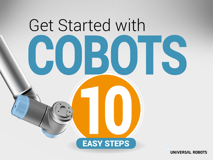

**UNIVERSAL ROBOTS**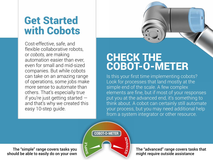### Get Started with Cobots

Cost-effective, safe, and flexible collaborative robots, or *cobots,* are making automation easier than ever, even for small and mid-sized companies. But while cobots can take on an amazing range of operations, some jobs make more sense to automate than others. That's especially true if you're just getting started and that's why we created this easy 10-step guide.

#### CHECK THE COBOT-O-METER

Is this your first time implementing cobots? Look for processes that land mostly at the simple end of the scale. A few complex elements are fine, but if most of your responses put you at the advanced end, it's something to think about. A cobot can certainly still automate your process, but you may need additional help from a system integrator or other resource.



The "simple" range covers tasks you should be able to easily do on your own

The "advanced" range covers tasks that might require outside assistance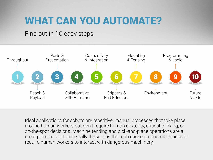### WHAT CAN YOU AUTOMATE?

#### Find out in 10 easy steps.



Ideal applications for cobots are repetitive, manual processes that take place around human workers but don't require human dexterity, critical thinking, or on-the-spot decisions. Machine tending and pick-and-place operations are a great place to start, especially those jobs that can cause ergonomic injuries or require human workers to interact with dangerous machinery.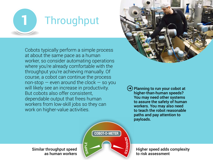

Cobots typically perform a simple process at about the same pace as a human worker, so consider automating operations where you're already comfortable with the throughput you're achieving manually. Of course, a cobot can continue the process non-stop  $-$  even around the clock  $-$  so you will likely see an increase in productivity. But cobots also offer consistent, dependable output that frees human workers from low-skill jobs so they can work on higher-value activities.



➜ Planning to run your cobot at higher-than-human speeds? You may need other systems to assure the safety of human workers. You may also need to teach the robot reasonable paths and pay attention to payloads.



Similar throughput speed as human workers Higher speed adds complexity to risk assessment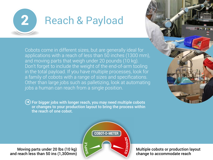

## 2 Reach & Payload

Cobots come in different sizes, but are generally ideal for applications with a reach of less than 50 inches (1300 mm), and moving parts that weigh under 20 pounds (10 kg). Don't forget to include the weight of the end-of-arm tooling in the total payload. If you have multiple processes, look for a family of cobots with a range of sizes and specifications. Other than large jobs such as palletizing, look at automating jobs a human can reach from a single position.

➜ For bigger jobs with longer reach, you may need multiple cobots or changes to your production layout to bring the process within the reach of one cobot.





Moving parts under 20 lbs (10 kg) and reach less than 50 ins (1,300mm) Multiple cobots or production layout change to accommodate reach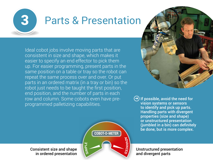

## 3 Parts & Presentation

Ideal cobot jobs involve moving parts that are consistent in size and shape, which makes it easier to specify an end effector to pick them up. For easier programming, present parts in the same position on a table or tray so the robot can repeat the same process over and over. Or put parts in an ordered matrix (in a tray or bin) so the robot just needs to be taught the first position, end position, and the number of parts in each row and column. Some cobots even have preprogrammed palletizing capabilities.



 $\left(\rightarrow\right)$  If possible, avoid the need for vision systems or sensors to identify and pick up parts. Handling parts with divergent properties (size and shape) or unstructured presentation (jumbled in a bin) can definitely be done, but is more complex.

Unstructured presentation and divergent parts



Consistent size and shape in ordered presentation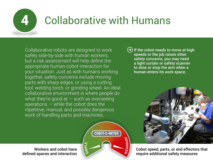

# 4 Collaborative with Humans

Collaborative robots are designed to work safely side-by-side with human workers, but a risk assessment will help define the appropriate human-cobot interaction for your situation. Just as with humans working together, safety concerns include moving parts with sharp edges, or using a cutting tool, welding torch, or grinding wheel. An ideal collaborative environment is where people do what they're good at  $-$  such as overseeing operations — while the cobot does the repetitive, manual, and possibly dangerous work of handling parts and machines.



Workers and cobot have defined spaces and interaction  $\left(\rightarrow\right)$  If the cobot needs to move at high speeds or the job raises other safety concerns, you may need a light curtain or safety scanner to slow or stop the arm when a human enters its work space.



Cobot speed, parts, or end effectors that require additional safety measures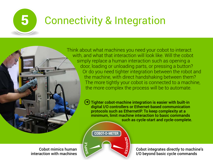

# 5 Connectivity & Integration

Think about what machines you need your cobot to interact with, and what that interaction will look like. Will the cobot simply replace a human interaction such as opening a door, loading or unloading parts, or pressing a button? Or do you need tighter integration between the robot and the machine, with direct handshaking between them? The more tightly your cobot is connected to a machine, the more complex the process will be to automate.

> ➜ Tighter cobot-machine integration is easier with built-in digital I/O controllers or Ethernet-based communication protocols such as EthernetIP. To keep complexity at a minimum, limit machine interaction to basic commands such as cycle-start and cycle-complete.

> > **ADVA**

COBOT-O-METER

 $\boldsymbol{\omega}$ **MI** <u>م</u> **LE**

**N**

**CED**

Cobot mimics human interaction with machines Cobot integrates directly to machine's I/O beyond basic cycle commands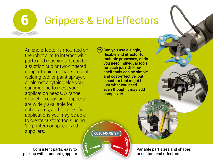

# 6 Grippers & End Effectors

An end effector is mounted on the robot arm to interact with parts and machines. It can be a suction cup or two-fingered gripper to pick up parts, a spotwelding tool or paint sprayer, or almost anything else you can imagine to meet your application needs. A range of suction cups and grippers are widely available for cobot arms, and for specific applications you may be able to create custom tools using 3D printers or specialized suppliers.

Consistent parts, easy to pick up with standard grippers

Can you use a single, flexible end effector for multiple processes, or do you need individual tools for each job? Off-theshelf tools can be simple and cost-effective, but a custom tool might be just what you need even though it may add complexity.



Variable part sizes and shapes or custom end effectors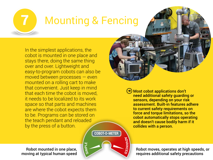

# **Mounting & Fencing**

In the simplest applications, the cobot is mounted in one place and stays there, doing the same thing over and over. Lightweight and easy-to-program cobots can also be moved between processes — even mounted on a rolling cart to make that convenient. Just keep in mind that each time the cobot is moved, it needs to be localized to its work space so that parts and machines are where the cobot expects them to be. Programs can be stored on the teach pendant and reloaded by the press of a button.

Robot mounted in one place, moving at typical human speed

**ADVA N CED** COBOT-O-METER  $\boldsymbol{\omega}$ **MI** <u>م</u> **LE**

➜ Most cobot applications don't need additional safety guarding or sensors, depending on your risk assessment. Built-in features adhere to current safety requirements on force and torque limitations, so the cobot automatically stops operating and doesn't cause bodily harm if it collides with a person.

Robot moves, operates at high speeds, or requires additional safety precautions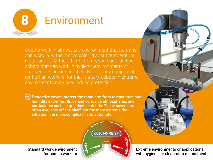

## 8 Environment

Cobots work in almost any environment that humans can work in, without complaining about temperature, noise, or dirt. At the other extreme, you can also find cobots that can work in hygienic environments or are even cleanroom-certified. But like any equipment (or human workers, for that matter), cobots in extreme environments may need added protection.

 $\left(\rightarrow\right)$  Protective covers protect the robot arm from temperature and humidity extremes, fluids and corrosive atmospheres, and particulates such as grit, dust, or debris. These covers are often available off-the shelf, but the more extreme the situation, the more complex it is to automate.



Standard work environment for human workers



Extreme environments or applications with hygienic or cleanroom requirements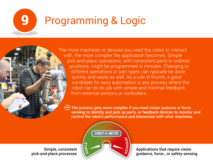

# 9 Programming & Logic

The more machines or devices you need the cobot to interact with, the more complex the application becomes. Simple pick-and-place operations, with consistent parts in ordered positions, might be programmed in minutes. Changing to different operations or part types can typically be done quickly and easily as well. As a rule of thumb, a good candidate for easy automation is any process where the robot can do its job with simple and minimal feedback from external sensors or controllers.

➜ The process gets more complex if you need vision systems or force sensing to identify and pick up parts, or feedback devices to monitor and control the robot's performance and interaction with other machines.



Applications that require vision guidance, force-, or safety-sensing

Simple, consistent pick-and-place processes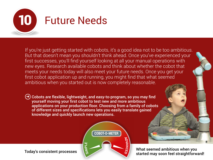

If you're just getting started with cobots, it's a good idea not to be too ambitious. But that doesn't mean you shouldn't think ahead. Once you've experienced your first successes, you'll find yourself looking at all your manual operations with new eyes. Research available cobots and think about whether the cobot that meets your needs today will also meet your future needs. Once you get your first cobot application up and running, you might find that what seemed ambitious when you started out is now completely reasonable.

➜ Cobots are flexible, lightweight, and easy-to-program, so you may find yourself moving your first cobot to test new and more ambitious applications on your production floor. Choosing from a family of cobots of different sizes and specifications lets you easily translate gained knowledge and quickly launch new operations.



Today's consistent processes What seemed ambitious when you started may soon feel straightforward!